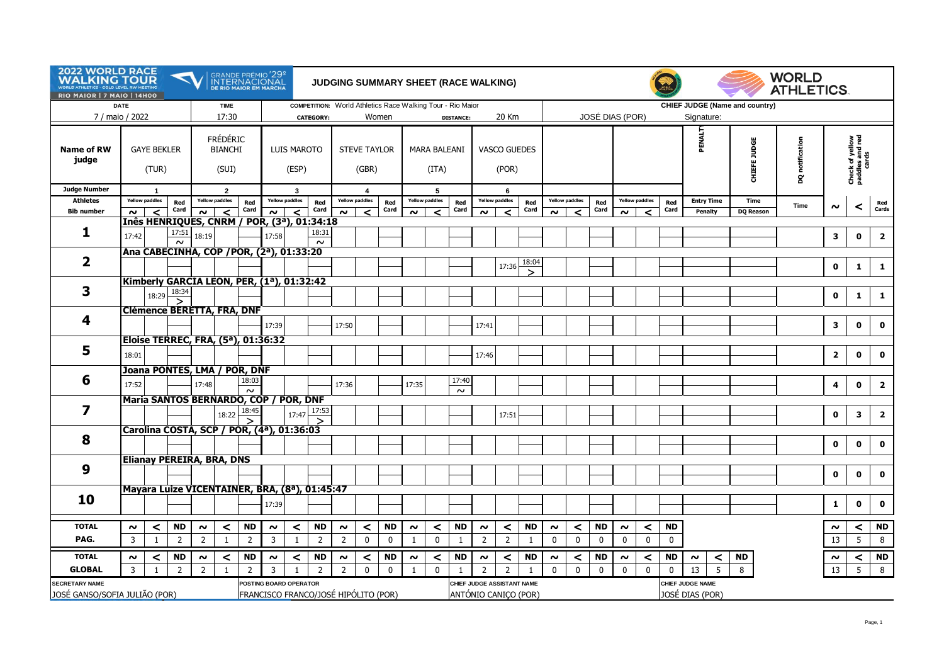| <b>2022 WORLD RACE</b><br><b>WALKING TOUR</b><br><b><i>NORLD ATHLETICS - GOLD LEVEL RW MEETING</i></b><br>RIO MAIOR   7 MAIO   14H00 |                                  |                         |                                      |                                                                    |                                            |                                               | GRANDE PRÉMIO <sup>1</sup> 29º<br>INTERNACIONAL<br>de rio maior em marcha<br>JUDGING SUMMARY SHEET (RACE WALKING) |                         |                |                              |                        |                      |                            |                       |                 |                              |                           |              |              |                       | <b>WORLD</b><br><b>ATHLETICS.</b> |                      |                                |             |                   |                  |                 |                |                                             |                         |
|--------------------------------------------------------------------------------------------------------------------------------------|----------------------------------|-------------------------|--------------------------------------|--------------------------------------------------------------------|--------------------------------------------|-----------------------------------------------|-------------------------------------------------------------------------------------------------------------------|-------------------------|----------------|------------------------------|------------------------|----------------------|----------------------------|-----------------------|-----------------|------------------------------|---------------------------|--------------|--------------|-----------------------|-----------------------------------|----------------------|--------------------------------|-------------|-------------------|------------------|-----------------|----------------|---------------------------------------------|-------------------------|
| <b>DATE</b><br>7 / maio / 2022                                                                                                       |                                  | <b>TIME</b><br>17:30    |                                      |                                                                    |                                            | <b>CATEGORY:</b>                              | COMPETITION: World Athletics Race Walking Tour - Rio Maior                                                        |                         | Women          |                              |                        | <b>DISTANCE:</b>     | 20 Km                      |                       |                 | <b>JOSÉ DIAS (POR)</b>       |                           |              |              |                       |                                   | Signature:           | CHIEF JUDGE (Name and country) |             |                   |                  |                 |                |                                             |                         |
| <b>Name of RW</b><br>judge                                                                                                           | <b>GAYE BEKLER</b><br>(TUR)      |                         |                                      |                                                                    | <b>FRÉDÉRIC</b><br><b>BIANCHI</b><br>(SUI) |                                               | LUIS MAROTO<br>(ESP)                                                                                              |                         |                | <b>STEVE TAYLOR</b><br>(GBR) |                        |                      | MARA BALEANI<br>(ITA)      |                       |                 | <b>VASCO GUEDES</b><br>(POR) |                           |              |              |                       |                                   |                      |                                |             | PENALT            | CHIEFE JUDGE     | DQ notification |                | Check of yellow<br>paddles and red<br>cards |                         |
| <b>Judge Number</b>                                                                                                                  | $\mathbf{1}$                     |                         |                                      |                                                                    | $\overline{2}$                             |                                               |                                                                                                                   | 3                       |                |                              | $\overline{4}$         |                      |                            | 5                     |                 |                              | 6                         |              |              |                       |                                   |                      |                                |             |                   |                  |                 |                |                                             |                         |
| <b>Athletes</b>                                                                                                                      |                                  | <b>Yellow paddles</b>   | Red<br>Card                          |                                                                    | <b>Yellow paddles</b>                      | Red<br>Card                                   | <b>Yellow paddles</b>                                                                                             |                         | Red<br>Card    |                              | <b>Yellow paddles</b>  | Red<br>Card          |                            | <b>Yellow paddles</b> | Red<br>Card     |                              | <b>Yellow paddles</b>     | Red<br>Card  |              | <b>Yellow paddles</b> | Red<br>Card                       |                      | <b>Yellow paddles</b>          | Red<br>Card | <b>Entry Time</b> | Time             | Time            | $\sim$         | ≺                                           | Red<br>Cards            |
| <b>Bib number</b>                                                                                                                    | $\sim$                           | $\epsilon$              |                                      | $\sim$<br>$\epsilon$<br>Inês HENRIQUES, CNRM / POR, (3ª), 01:34:18 |                                            |                                               | $\prec$<br>$\sim$                                                                                                 |                         |                | $\sim$                       | $\epsilon$             |                      | $\sim$                     | $\epsilon$            |                 | $\sim$                       | $\epsilon$                |              | $\sim$       | ≺                     |                                   | $\epsilon$<br>$\sim$ |                                |             | Penalty           | <b>DQ Reason</b> |                 |                |                                             |                         |
| 1                                                                                                                                    |                                  |                         | 17:51                                |                                                                    |                                            |                                               |                                                                                                                   |                         | 18:31          |                              |                        |                      |                            |                       |                 |                              |                           |              |              |                       |                                   |                      |                                |             |                   |                  |                 |                |                                             |                         |
|                                                                                                                                      | 17:42                            |                         | $\sim$                               | 18:19                                                              |                                            |                                               | 17:58                                                                                                             |                         | $\sim$         |                              |                        |                      |                            |                       |                 |                              |                           |              |              |                       |                                   |                      |                                |             |                   |                  |                 | 3              | $\mathbf 0$                                 | $\overline{2}$          |
|                                                                                                                                      |                                  |                         |                                      |                                                                    |                                            | Ana CABECINHA, COP / POR, (2ª), 01:33:20      |                                                                                                                   |                         |                |                              |                        |                      |                            |                       |                 |                              |                           |              |              |                       |                                   |                      |                                |             |                   |                  |                 |                |                                             |                         |
| 2                                                                                                                                    |                                  |                         |                                      |                                                                    |                                            |                                               |                                                                                                                   |                         |                |                              |                        |                      |                            |                       |                 |                              | 17:36                     | 18:04        |              |                       |                                   |                      |                                |             |                   |                  |                 | $\mathbf 0$    | 1                                           | $\mathbf{1}$            |
|                                                                                                                                      |                                  |                         |                                      |                                                                    |                                            | Kimberly GARCIA LEON, PER, (1ª), 01:32:42     |                                                                                                                   |                         |                |                              |                        |                      |                            |                       |                 |                              |                           |              |              |                       |                                   |                      |                                |             |                   |                  |                 |                |                                             |                         |
| 3                                                                                                                                    |                                  | 18:29                   | 18:34                                |                                                                    |                                            |                                               |                                                                                                                   |                         |                |                              |                        |                      |                            |                       |                 |                              |                           |              |              |                       |                                   |                      |                                |             |                   |                  |                 | $\mathbf 0$    |                                             | $\mathbf{1}$            |
|                                                                                                                                      |                                  |                         | >                                    |                                                                    |                                            |                                               |                                                                                                                   |                         |                |                              |                        |                      |                            |                       |                 |                              |                           |              |              |                       |                                   |                      |                                |             |                   |                  |                 |                | 1                                           |                         |
| 4                                                                                                                                    |                                  |                         |                                      |                                                                    |                                            | <b>Clémence BERETTA, FRA, DNF</b>             |                                                                                                                   |                         |                |                              |                        |                      |                            |                       |                 |                              |                           |              |              |                       |                                   |                      |                                |             |                   |                  |                 |                |                                             |                         |
|                                                                                                                                      |                                  |                         |                                      |                                                                    |                                            |                                               | 17:39                                                                                                             |                         |                | 17:50                        |                        |                      |                            |                       |                 | 17:41                        |                           |              |              |                       |                                   |                      |                                |             |                   |                  |                 | 3              | $\mathbf 0$                                 | $\mathbf 0$             |
|                                                                                                                                      |                                  |                         |                                      |                                                                    |                                            | Eloise TERREC, FRA, (5ª), 01:36:32            |                                                                                                                   |                         |                |                              |                        |                      |                            |                       |                 |                              |                           |              |              |                       |                                   |                      |                                |             |                   |                  |                 |                |                                             |                         |
| 5                                                                                                                                    | 18:01                            |                         |                                      |                                                                    |                                            |                                               |                                                                                                                   |                         |                |                              |                        |                      |                            |                       |                 | 17:46                        |                           |              |              |                       |                                   |                      |                                |             |                   |                  |                 | $\overline{2}$ | $\mathbf 0$                                 | $\mathbf{o}$            |
|                                                                                                                                      |                                  |                         |                                      |                                                                    |                                            |                                               |                                                                                                                   |                         |                |                              |                        |                      |                            |                       |                 |                              |                           |              |              |                       |                                   |                      |                                |             |                   |                  |                 |                |                                             |                         |
| 6                                                                                                                                    |                                  |                         |                                      |                                                                    |                                            | Joana PONTES, LMA / POR, DNF                  |                                                                                                                   |                         |                |                              |                        |                      |                            |                       |                 |                              |                           |              |              |                       |                                   |                      |                                |             |                   |                  |                 |                |                                             |                         |
|                                                                                                                                      | 17:52                            |                         |                                      | 17:48                                                              |                                            | 18:03<br>$\sim$                               |                                                                                                                   |                         |                | 17:36                        |                        |                      | 17:35                      |                       | 17:40<br>$\sim$ |                              |                           |              |              |                       |                                   |                      |                                |             |                   |                  |                 | 4              | $\mathbf{0}$                                | $\overline{2}$          |
|                                                                                                                                      |                                  |                         |                                      |                                                                    |                                            | Maria SANTOS BERNARDO, COP / POR, DNF         |                                                                                                                   |                         |                |                              |                        |                      |                            |                       |                 |                              |                           |              |              |                       |                                   |                      |                                |             |                   |                  |                 |                |                                             |                         |
| 7                                                                                                                                    |                                  |                         |                                      |                                                                    | 18:22                                      | 18:45                                         |                                                                                                                   | 17:47                   | 17:53          |                              |                        |                      |                            |                       |                 |                              | 17:51                     |              |              |                       |                                   |                      |                                |             |                   |                  |                 | $\mathbf 0$    | 3                                           | $\overline{\mathbf{2}}$ |
|                                                                                                                                      |                                  |                         |                                      |                                                                    |                                            | Carolina COSTA, SCP / POR, (4ª), 01:36:03     |                                                                                                                   |                         |                |                              |                        |                      |                            |                       |                 |                              |                           |              |              |                       |                                   |                      |                                |             |                   |                  |                 |                |                                             |                         |
| 8                                                                                                                                    |                                  |                         |                                      |                                                                    |                                            |                                               |                                                                                                                   |                         |                |                              |                        |                      |                            |                       |                 |                              |                           |              |              |                       |                                   |                      |                                |             |                   |                  |                 |                |                                             |                         |
|                                                                                                                                      |                                  |                         |                                      |                                                                    |                                            |                                               |                                                                                                                   |                         |                |                              |                        |                      |                            |                       |                 |                              |                           |              |              |                       |                                   |                      |                                |             |                   |                  |                 | $\mathbf 0$    | $\mathbf{0}$                                | $\mathbf{0}$            |
|                                                                                                                                      | <b>Elianay PEREIRA, BRA, DNS</b> |                         |                                      |                                                                    |                                            |                                               |                                                                                                                   |                         |                |                              |                        |                      |                            |                       |                 |                              |                           |              |              |                       |                                   |                      |                                |             |                   |                  |                 |                |                                             |                         |
| 9                                                                                                                                    |                                  |                         |                                      |                                                                    |                                            |                                               |                                                                                                                   |                         |                |                              |                        |                      |                            |                       |                 |                              |                           |              |              |                       |                                   |                      |                                |             |                   |                  |                 | $\mathbf 0$    | $\mathbf 0$                                 | $\mathbf 0$             |
|                                                                                                                                      |                                  |                         |                                      |                                                                    |                                            | Mayara Luize VICENTAINER, BRA, (8ª), 01:45:47 |                                                                                                                   |                         |                |                              |                        |                      |                            |                       |                 |                              |                           |              |              |                       |                                   |                      |                                |             |                   |                  |                 |                |                                             |                         |
| 10                                                                                                                                   |                                  |                         |                                      |                                                                    |                                            |                                               |                                                                                                                   |                         |                |                              |                        |                      |                            |                       |                 |                              |                           |              |              |                       |                                   |                      |                                |             |                   |                  |                 |                |                                             |                         |
|                                                                                                                                      |                                  |                         |                                      |                                                                    |                                            |                                               | 17:39                                                                                                             |                         |                |                              |                        |                      |                            |                       |                 |                              |                           |              |              |                       |                                   |                      |                                |             |                   |                  |                 | 1              | $\mathbf 0$                                 | $\mathbf 0$             |
| <b>TOTAL</b>                                                                                                                         | $\sim$                           |                         | <b>ND</b>                            | $\sim$                                                             | $\prec$                                    | <b>ND</b>                                     | $\sim$                                                                                                            |                         | <b>ND</b>      |                              |                        | <b>ND</b>            | $\sim$                     | $\prec$               | <b>ND</b>       | $\sim$                       |                           | <b>ND</b>    | $\sim$       | $\prec$               | <b>ND</b>                         | $\sim$               |                                | <b>ND</b>   |                   |                  |                 | $\sim$         |                                             | <b>ND</b>               |
| PAG.                                                                                                                                 | $\overline{3}$                   | $\prec$<br>$\mathbf{1}$ | $\overline{2}$                       | $\overline{2}$                                                     | $\mathbf{1}$                               | $\overline{2}$                                | 3                                                                                                                 | $\prec$<br>$\mathbf{1}$ | $\overline{2}$ | $\sim$<br>$\overline{2}$     | $\prec$<br>$\mathbf 0$ | $\mathbf 0$          | $\mathbf{1}$               | $\mathbf 0$           | $\mathbf{1}$    | $\overline{2}$               | $\prec$<br>$\overline{2}$ | $\mathbf{1}$ | $\mathbf 0$  | 0                     | 0                                 | $\mathbf 0$          | $\prec$<br>$\mathbf 0$         | $\mathbf 0$ |                   |                  |                 | 13             | $\prec$<br>5                                | 8                       |
|                                                                                                                                      |                                  |                         |                                      |                                                                    |                                            |                                               |                                                                                                                   |                         |                |                              |                        |                      |                            |                       |                 |                              |                           |              |              |                       |                                   |                      |                                |             |                   |                  |                 |                |                                             |                         |
| <b>TOTAL</b>                                                                                                                         | $\sim$                           | $\prec$                 | <b>ND</b>                            | $\sim$                                                             | $\prec$                                    | <b>ND</b>                                     | $\sim$                                                                                                            | $\prec$                 | <b>ND</b>      | $\sim$                       | $\prec$                | <b>ND</b>            | $\sim$                     | $\prec$               | <b>ND</b>       | $\sim$                       | $\prec$                   | <b>ND</b>    | $\sim$       | $\prec$               | <b>ND</b>                         | $\sim$               | $\prec$                        | <b>ND</b>   | $\prec$<br>$\sim$ | ND               |                 | $\sim$         | $\prec$                                     | <b>ND</b>               |
| <b>GLOBAL</b>                                                                                                                        | 3                                | $\mathbf{1}$            | $\overline{2}$                       | $\overline{2}$                                                     | 1                                          | $\overline{2}$                                | 3                                                                                                                 | 1                       | 2              | $\overline{2}$               | $\mathbf 0$            | $\mathbf 0$          | 1                          | $\mathbf 0$           | $\overline{1}$  | $\overline{2}$               | $\overline{2}$            | $\mathbf{1}$ | $\mathbf{0}$ | 0                     | $\mathbf 0$                       | $\mathbf 0$          | $\mathbf 0$                    | $\mathbf 0$ | 5<br>13           | 8                |                 | 13             | 5                                           | 8                       |
| <b>SECRETARY NAME</b>                                                                                                                |                                  |                         |                                      | POSTING BOARD OPERATOR                                             |                                            |                                               |                                                                                                                   |                         |                |                              |                        |                      | CHIEF JUDGE ASSISTANT NAME |                       |                 |                              |                           |              |              |                       | CHIEF JUDGE NAME                  |                      |                                |             |                   |                  |                 |                |                                             |                         |
| JOSÉ GANSO/SOFIA JULIÃO (POR)                                                                                                        |                                  |                         | FRANCISCO FRANCO/JOSÉ HIPÓLITO (POR) |                                                                    |                                            |                                               |                                                                                                                   |                         |                |                              |                        | ANTÓNIO CANIÇO (POR) |                            |                       |                 |                              |                           |              |              | JOSÉ DIAS (POR)       |                                   |                      |                                |             |                   |                  |                 |                |                                             |                         |